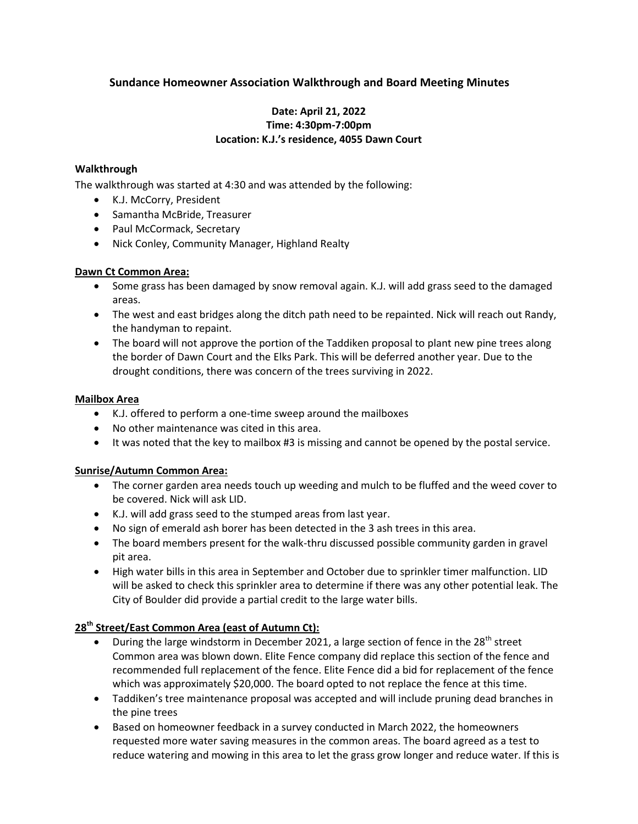# **Sundance Homeowner Association Walkthrough and Board Meeting Minutes**

## **Date: April 21, 2022 Time: 4:30pm-7:00pm Location: K.J.'s residence, 4055 Dawn Court**

### **Walkthrough**

The walkthrough was started at 4:30 and was attended by the following:

- K.J. McCorry, President
- Samantha McBride, Treasurer
- Paul McCormack, Secretary
- Nick Conley, Community Manager, Highland Realty

### **Dawn Ct Common Area:**

- Some grass has been damaged by snow removal again. K.J. will add grass seed to the damaged areas.
- The west and east bridges along the ditch path need to be repainted. Nick will reach out Randy, the handyman to repaint.
- The board will not approve the portion of the Taddiken proposal to plant new pine trees along the border of Dawn Court and the Elks Park. This will be deferred another year. Due to the drought conditions, there was concern of the trees surviving in 2022.

### **Mailbox Area**

- K.J. offered to perform a one-time sweep around the mailboxes
- No other maintenance was cited in this area.
- It was noted that the key to mailbox #3 is missing and cannot be opened by the postal service.

### **Sunrise/Autumn Common Area:**

- The corner garden area needs touch up weeding and mulch to be fluffed and the weed cover to be covered. Nick will ask LID.
- K.J. will add grass seed to the stumped areas from last year.
- No sign of emerald ash borer has been detected in the 3 ash trees in this area.
- The board members present for the walk-thru discussed possible community garden in gravel pit area.
- High water bills in this area in September and October due to sprinkler timer malfunction. LID will be asked to check this sprinkler area to determine if there was any other potential leak. The City of Boulder did provide a partial credit to the large water bills.

### **28th Street/East Common Area (east of Autumn Ct):**

- **•** During the large windstorm in December 2021, a large section of fence in the 28<sup>th</sup> street Common area was blown down. Elite Fence company did replace this section of the fence and recommended full replacement of the fence. Elite Fence did a bid for replacement of the fence which was approximately \$20,000. The board opted to not replace the fence at this time.
- Taddiken's tree maintenance proposal was accepted and will include pruning dead branches in the pine trees
- Based on homeowner feedback in a survey conducted in March 2022, the homeowners requested more water saving measures in the common areas. The board agreed as a test to reduce watering and mowing in this area to let the grass grow longer and reduce water. If this is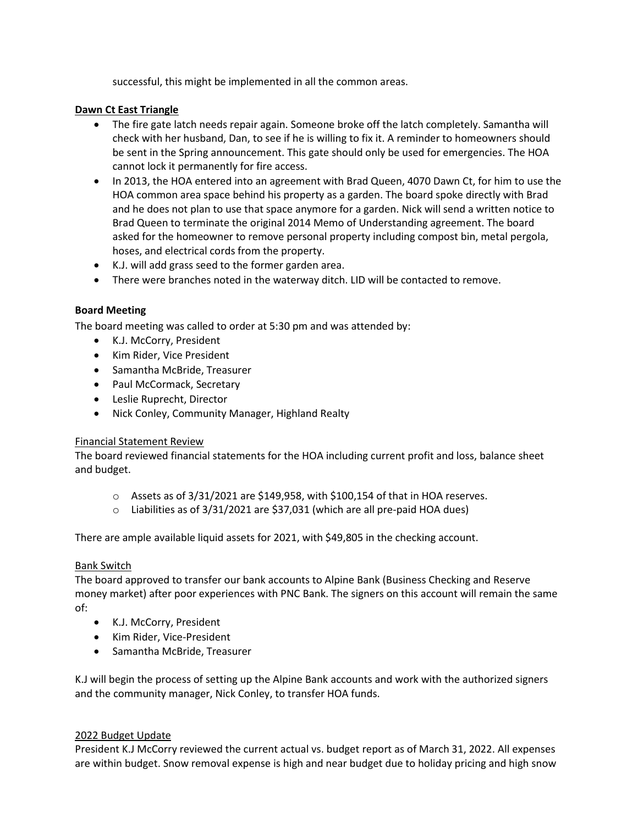successful, this might be implemented in all the common areas.

### **Dawn Ct East Triangle**

- The fire gate latch needs repair again. Someone broke off the latch completely. Samantha will check with her husband, Dan, to see if he is willing to fix it. A reminder to homeowners should be sent in the Spring announcement. This gate should only be used for emergencies. The HOA cannot lock it permanently for fire access.
- In 2013, the HOA entered into an agreement with Brad Queen, 4070 Dawn Ct, for him to use the HOA common area space behind his property as a garden. The board spoke directly with Brad and he does not plan to use that space anymore for a garden. Nick will send a written notice to Brad Queen to terminate the original 2014 Memo of Understanding agreement. The board asked for the homeowner to remove personal property including compost bin, metal pergola, hoses, and electrical cords from the property.
- K.J. will add grass seed to the former garden area.
- There were branches noted in the waterway ditch. LID will be contacted to remove.

### **Board Meeting**

The board meeting was called to order at 5:30 pm and was attended by:

- K.J. McCorry, President
- Kim Rider, Vice President
- Samantha McBride, Treasurer
- Paul McCormack, Secretary
- Leslie Ruprecht, Director
- Nick Conley, Community Manager, Highland Realty

## Financial Statement Review

The board reviewed financial statements for the HOA including current profit and loss, balance sheet and budget.

- o Assets as of 3/31/2021 are \$149,958, with \$100,154 of that in HOA reserves.
- o Liabilities as of 3/31/2021 are \$37,031 (which are all pre-paid HOA dues)

There are ample available liquid assets for 2021, with \$49,805 in the checking account.

## Bank Switch

The board approved to transfer our bank accounts to Alpine Bank (Business Checking and Reserve money market) after poor experiences with PNC Bank. The signers on this account will remain the same of:

- K.J. McCorry, President
- Kim Rider, Vice-President
- Samantha McBride, Treasurer

K.J will begin the process of setting up the Alpine Bank accounts and work with the authorized signers and the community manager, Nick Conley, to transfer HOA funds.

### 2022 Budget Update

President K.J McCorry reviewed the current actual vs. budget report as of March 31, 2022. All expenses are within budget. Snow removal expense is high and near budget due to holiday pricing and high snow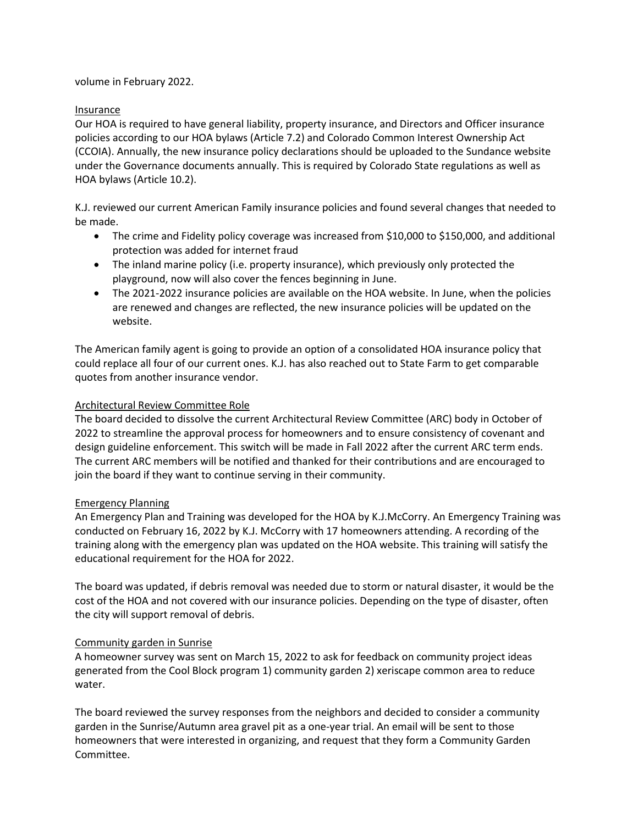volume in February 2022.

### Insurance

Our HOA is required to have general liability, property insurance, and Directors and Officer insurance policies according to our HOA bylaws (Article 7.2) and Colorado Common Interest Ownership Act (CCOIA). Annually, the new insurance policy declarations should be uploaded to the Sundance website under the Governance documents annually. This is required by Colorado State regulations as well as HOA bylaws (Article 10.2).

K.J. reviewed our current American Family insurance policies and found several changes that needed to be made.

- The crime and Fidelity policy coverage was increased from \$10,000 to \$150,000, and additional protection was added for internet fraud
- The inland marine policy (i.e. property insurance), which previously only protected the playground, now will also cover the fences beginning in June.
- The 2021-2022 insurance policies are available on the HOA website. In June, when the policies are renewed and changes are reflected, the new insurance policies will be updated on the website.

The American family agent is going to provide an option of a consolidated HOA insurance policy that could replace all four of our current ones. K.J. has also reached out to State Farm to get comparable quotes from another insurance vendor.

### Architectural Review Committee Role

The board decided to dissolve the current Architectural Review Committee (ARC) body in October of 2022 to streamline the approval process for homeowners and to ensure consistency of covenant and design guideline enforcement. This switch will be made in Fall 2022 after the current ARC term ends. The current ARC members will be notified and thanked for their contributions and are encouraged to join the board if they want to continue serving in their community.

### Emergency Planning

An Emergency Plan and Training was developed for the HOA by K.J.McCorry. An Emergency Training was conducted on February 16, 2022 by K.J. McCorry with 17 homeowners attending. A recording of the training along with the emergency plan was updated on the HOA website. This training will satisfy the educational requirement for the HOA for 2022.

The board was updated, if debris removal was needed due to storm or natural disaster, it would be the cost of the HOA and not covered with our insurance policies. Depending on the type of disaster, often the city will support removal of debris.

## Community garden in Sunrise

A homeowner survey was sent on March 15, 2022 to ask for feedback on community project ideas generated from the Cool Block program 1) community garden 2) xeriscape common area to reduce water.

The board reviewed the survey responses from the neighbors and decided to consider a community garden in the Sunrise/Autumn area gravel pit as a one-year trial. An email will be sent to those homeowners that were interested in organizing, and request that they form a Community Garden Committee.